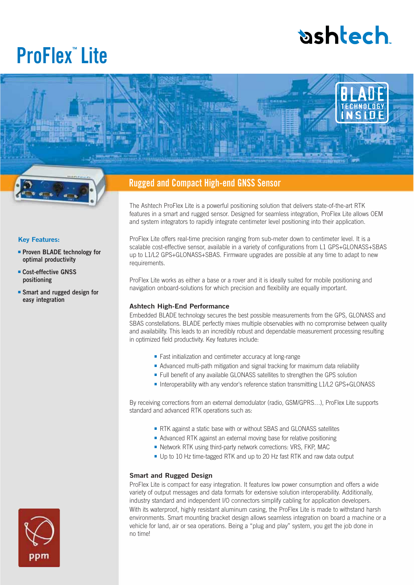# **bshlech**

## **ProFlex™ Lite**





■ **Proven BLADE technology for optimal productivity** ■ **Cost-effective GNSS positioning**

■ **Smart and rugged design for** 

**easy integration**

**Key Features:**

## **Rugged and Compact High-end GNSS Sensor**

The Ashtech ProFlex Lite is a powerful positioning solution that delivers state-of-the-art RTK features in a smart and rugged sensor. Designed for seamless integration, ProFlex Lite allows OEM and system integrators to rapidly integrate centimeter level positioning into their application.

ProFlex Lite offers real-time precision ranging from sub-meter down to centimeter level. It is a scalable cost-effective sensor, available in a variety of configurations from L1 GPS+GLONASS+SBAS up to L1/L2 GPS+GLONASS+SBAS. Firmware upgrades are possible at any time to adapt to new requirements.

ProFlex Lite works as either a base or a rover and it is ideally suited for mobile positioning and navigation onboard-solutions for which precision and flexibility are equally important.

#### **Ashtech High-End Performance**

Embedded BLADE technology secures the best possible measurements from the GPS, GLONASS and SBAS constellations. BLADE perfectly mixes multiple observables with no compromise between quality and availability. This leads to an incredibly robust and dependable measurement processing resulting in optimized field productivity. Key features include:

- Fast initialization and centimeter accuracy at long-range
- Advanced multi-path mitigation and signal tracking for maximum data reliability
- Full benefit of any available GLONASS satellites to strengthen the GPS solution
- Interoperability with any vendor's reference station transmitting L1/L2 GPS+GLONASS

By receiving corrections from an external demodulator (radio, GSM/GPRS…), ProFlex Lite supports standard and advanced RTK operations such as:

- RTK against a static base with or without SBAS and GLONASS satellites
- Advanced RTK against an external moving base for relative positioning
- Network RTK using third-party network corrections: VRS, FKP, MAC
- Up to 10 Hz time-tagged RTK and up to 20 Hz fast RTK and raw data output

#### **Smart and Rugged Design**

ProFlex Lite is compact for easy integration. It features low power consumption and offers a wide variety of output messages and data formats for extensive solution interoperability. Additionally, industry standard and independent I/O connectors simplify cabling for application developers. With its waterproof, highly resistant aluminum casing, the ProFlex Lite is made to withstand harsh environments. Smart mounting bracket design allows seamless integration on board a machine or a vehicle for land, air or sea operations. Being a "plug and play" system, you get the job done in no time!